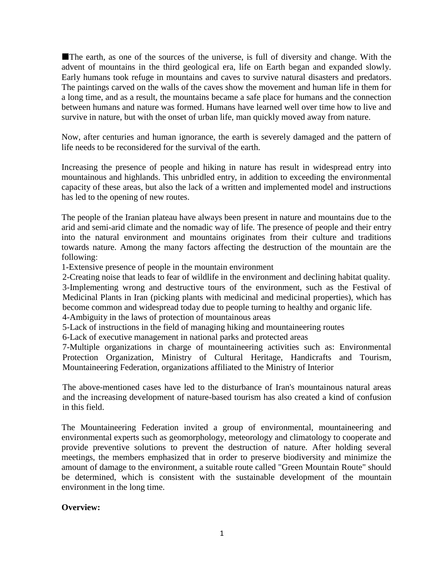The earth, as one of the sources of the universe, is full of diversity and change. With the advent of mountains in the third geological era, life on Earth began and expanded slowly. Early humans took refuge in mountains and caves to survive natural disasters and predators. The paintings carved on the walls of the caves show the movement and human life in them for a long time, and as a result, the mountains became a safe place for humans and the connection between humans and nature was formed. Humans have learned well over time how to live and survive in nature, but with the onset of urban life, man quickly moved away from nature.

Now, after centuries and human ignorance, the earth is severely damaged and the pattern of life needs to be reconsidered for the survival of the earth.

Increasing the presence of people and hiking in nature has result in widespread entry into mountainous and highlands. This unbridled entry, in addition to exceeding the environmental capacity of these areas, but also the lack of a written and implemented model and instructions has led to the opening of new routes.

The people of the Iranian plateau have always been present in nature and mountains due to the arid and semi-arid climate and the nomadic way of life. The presence of people and their entry into the natural environment and mountains originates from their culture and traditions towards nature. Among the many factors affecting the destruction of the mountain are the following:

1-Extensive presence of people in the mountain environment

2-Creating noise that leads to fear of wildlife in the environment and declining habitat quality.

3-Implementing wrong and destructive tours of the environment, such as the Festival of Medicinal Plants in Iran (picking plants with medicinal and medicinal properties), which has become common and widespread today due to people turning to healthy and organic life.

4-Ambiguity in the laws of protection of mountainous areas

5-Lack of instructions in the field of managing hiking and mountaineering routes

6-Lack of executive management in national parks and protected areas

7-Multiple organizations in charge of mountaineering activities such as: Environmental Protection Organization, Ministry of Cultural Heritage, Handicrafts and Tourism, Mountaineering Federation, organizations affiliated to the Ministry of Interior

The above-mentioned cases have led to the disturbance of Iran's mountainous natural areas and the increasing development of nature-based tourism has also created a kind of confusion in this field.

The Mountaineering Federation invited a group of environmental, mountaineering and environmental experts such as geomorphology, meteorology and climatology to cooperate and provide preventive solutions to prevent the destruction of nature. After holding several meetings, the members emphasized that in order to preserve biodiversity and minimize the amount of damage to the environment, a suitable route called "Green Mountain Route" should be determined, which is consistent with the sustainable development of the mountain environment in the long time.

#### **Overview:**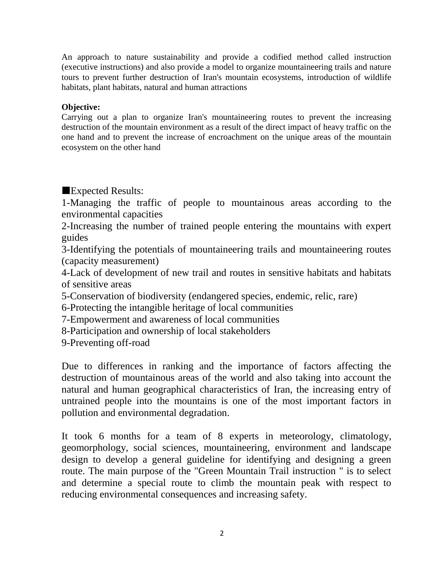An approach to nature sustainability and provide a codified method called instruction (executive instructions) and also provide a model to organize mountaineering trails and nature tours to prevent further destruction of Iran's mountain ecosystems, introduction of wildlife habitats, plant habitats, natural and human attractions

#### **Objective:**

Carrying out a plan to organize Iran's mountaineering routes to prevent the increasing destruction of the mountain environment as a result of the direct impact of heavy traffic on the one hand and to prevent the increase of encroachment on the unique areas of the mountain ecosystem on the other hand

Expected Results:

1-Managing the traffic of people to mountainous areas according to the environmental capacities

2-Increasing the number of trained people entering the mountains with expert guides

3-Identifying the potentials of mountaineering trails and mountaineering routes (capacity measurement)

4-Lack of development of new trail and routes in sensitive habitats and habitats of sensitive areas

5-Conservation of biodiversity (endangered species, endemic, relic, rare)

6-Protecting the intangible heritage of local communities

7-Empowerment and awareness of local communities

8-Participation and ownership of local stakeholders

9-Preventing off-road

Due to differences in ranking and the importance of factors affecting the destruction of mountainous areas of the world and also taking into account the natural and human geographical characteristics of Iran, the increasing entry of untrained people into the mountains is one of the most important factors in pollution and environmental degradation.

It took 6 months for a team of 8 experts in meteorology, climatology, geomorphology, social sciences, mountaineering, environment and landscape design to develop a general guideline for identifying and designing a green route. The main purpose of the "Green Mountain Trail instruction " is to select and determine a special route to climb the mountain peak with respect to reducing environmental consequences and increasing safety.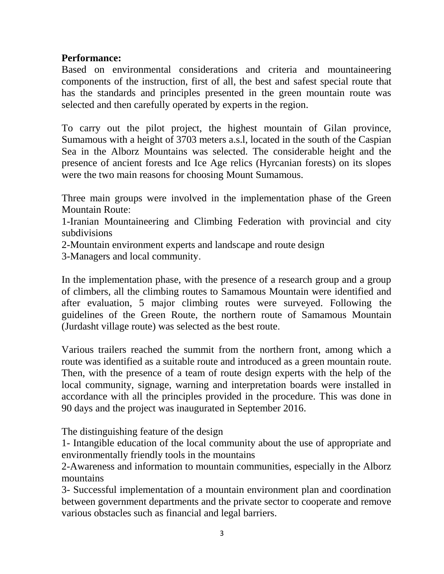### **Performance:**

Based on environmental considerations and criteria and mountaineering components of the instruction, first of all, the best and safest special route that has the standards and principles presented in the green mountain route was selected and then carefully operated by experts in the region.

To carry out the pilot project, the highest mountain of Gilan province, Sumamous with a height of 3703 meters a.s.l, located in the south of the Caspian Sea in the Alborz Mountains was selected. The considerable height and the presence of ancient forests and Ice Age relics (Hyrcanian forests) on its slopes were the two main reasons for choosing Mount Sumamous.

Three main groups were involved in the implementation phase of the Green Mountain Route:

1-Iranian Mountaineering and Climbing Federation with provincial and city subdivisions

2-Mountain environment experts and landscape and route design

3-Managers and local community.

In the implementation phase, with the presence of a research group and a group of climbers, all the climbing routes to Samamous Mountain were identified and after evaluation, 5 major climbing routes were surveyed. Following the guidelines of the Green Route, the northern route of Samamous Mountain (Jurdasht village route) was selected as the best route.

Various trailers reached the summit from the northern front, among which a route was identified as a suitable route and introduced as a green mountain route. Then, with the presence of a team of route design experts with the help of the local community, signage, warning and interpretation boards were installed in accordance with all the principles provided in the procedure. This was done in 90 days and the project was inaugurated in September 2016.

The distinguishing feature of the design

1- Intangible education of the local community about the use of appropriate and environmentally friendly tools in the mountains

2-Awareness and information to mountain communities, especially in the Alborz mountains

3- Successful implementation of a mountain environment plan and coordination between government departments and the private sector to cooperate and remove various obstacles such as financial and legal barriers.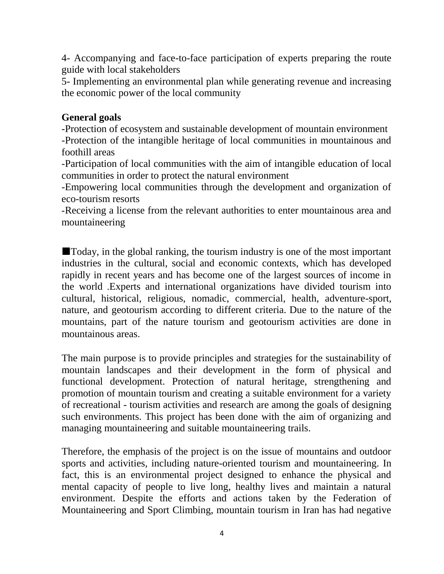4- Accompanying and face-to-face participation of experts preparing the route guide with local stakeholders

5- Implementing an environmental plan while generating revenue and increasing the economic power of the local community

# **General goals**

-Protection of ecosystem and sustainable development of mountain environment -Protection of the intangible heritage of local communities in mountainous and foothill areas

-Participation of local communities with the aim of intangible education of local communities in order to protect the natural environment

-Empowering local communities through the development and organization of eco-tourism resorts

-Receiving a license from the relevant authorities to enter mountainous area and mountaineering

Today, in the global ranking, the tourism industry is one of the most important industries in the cultural, social and economic contexts, which has developed rapidly in recent years and has become one of the largest sources of income in the world .Experts and international organizations have divided tourism into cultural, historical, religious, nomadic, commercial, health, adventure-sport, nature, and geotourism according to different criteria. Due to the nature of the mountains, part of the nature tourism and geotourism activities are done in mountainous areas.

The main purpose is to provide principles and strategies for the sustainability of mountain landscapes and their development in the form of physical and functional development. Protection of natural heritage, strengthening and promotion of mountain tourism and creating a suitable environment for a variety of recreational - tourism activities and research are among the goals of designing such environments. This project has been done with the aim of organizing and managing mountaineering and suitable mountaineering trails.

Therefore, the emphasis of the project is on the issue of mountains and outdoor sports and activities, including nature-oriented tourism and mountaineering. In fact, this is an environmental project designed to enhance the physical and mental capacity of people to live long, healthy lives and maintain a natural environment. Despite the efforts and actions taken by the Federation of Mountaineering and Sport Climbing, mountain tourism in Iran has had negative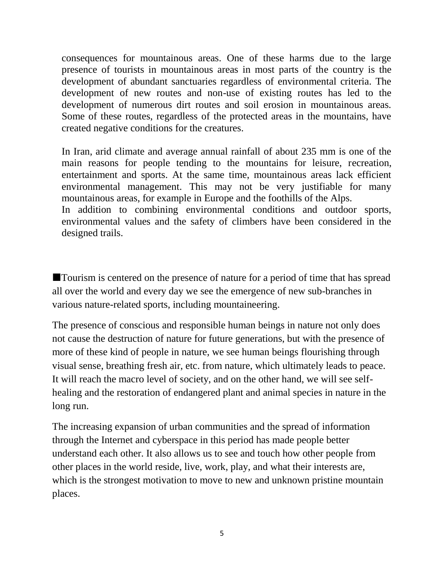consequences for mountainous areas. One of these harms due to the large presence of tourists in mountainous areas in most parts of the country is the development of abundant sanctuaries regardless of environmental criteria. The development of new routes and non-use of existing routes has led to the development of numerous dirt routes and soil erosion in mountainous areas. Some of these routes, regardless of the protected areas in the mountains, have created negative conditions for the creatures.

In Iran, arid climate and average annual rainfall of about 235 mm is one of the main reasons for people tending to the mountains for leisure, recreation, entertainment and sports. At the same time, mountainous areas lack efficient environmental management. This may not be very justifiable for many mountainous areas, for example in Europe and the foothills of the Alps. In addition to combining environmental conditions and outdoor sports, environmental values and the safety of climbers have been considered in the designed trails.

Tourism is centered on the presence of nature for a period of time that has spread all over the world and every day we see the emergence of new sub-branches in various nature-related sports, including mountaineering.

The presence of conscious and responsible human beings in nature not only does not cause the destruction of nature for future generations, but with the presence of more of these kind of people in nature, we see human beings flourishing through visual sense, breathing fresh air, etc. from nature, which ultimately leads to peace. It will reach the macro level of society, and on the other hand, we will see selfhealing and the restoration of endangered plant and animal species in nature in the long run.

The increasing expansion of urban communities and the spread of information through the Internet and cyberspace in this period has made people better understand each other. It also allows us to see and touch how other people from other places in the world reside, live, work, play, and what their interests are, which is the strongest motivation to move to new and unknown pristine mountain places.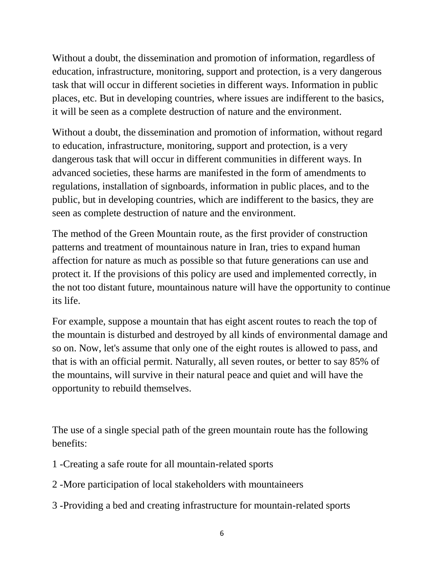Without a doubt, the dissemination and promotion of information, regardless of education, infrastructure, monitoring, support and protection, is a very dangerous task that will occur in different societies in different ways. Information in public places, etc. But in developing countries, where issues are indifferent to the basics, it will be seen as a complete destruction of nature and the environment.

Without a doubt, the dissemination and promotion of information, without regard to education, infrastructure, monitoring, support and protection, is a very dangerous task that will occur in different communities in different ways. In advanced societies, these harms are manifested in the form of amendments to regulations, installation of signboards, information in public places, and to the public, but in developing countries, which are indifferent to the basics, they are seen as complete destruction of nature and the environment.

The method of the Green Mountain route, as the first provider of construction patterns and treatment of mountainous nature in Iran, tries to expand human affection for nature as much as possible so that future generations can use and protect it. If the provisions of this policy are used and implemented correctly, in the not too distant future, mountainous nature will have the opportunity to continue its life.

For example, suppose a mountain that has eight ascent routes to reach the top of the mountain is disturbed and destroyed by all kinds of environmental damage and so on. Now, let's assume that only one of the eight routes is allowed to pass, and that is with an official permit. Naturally, all seven routes, or better to say 85% of the mountains, will survive in their natural peace and quiet and will have the opportunity to rebuild themselves.

The use of a single special path of the green mountain route has the following benefits:

- 1 -Creating a safe route for all mountain-related sports
- 2 -More participation of local stakeholders with mountaineers
- 3 -Providing a bed and creating infrastructure for mountain-related sports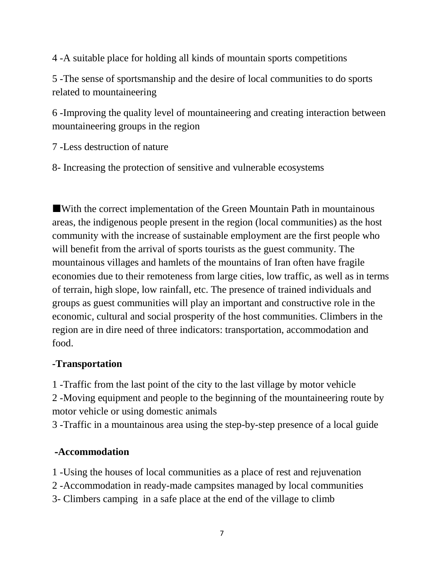4 -A suitable place for holding all kinds of mountain sports competitions

5 -The sense of sportsmanship and the desire of local communities to do sports related to mountaineering

6 -Improving the quality level of mountaineering and creating interaction between mountaineering groups in the region

7 -Less destruction of nature

8- Increasing the protection of sensitive and vulnerable ecosystems

With the correct implementation of the Green Mountain Path in mountainous areas, the indigenous people present in the region (local communities) as the host community with the increase of sustainable employment are the first people who will benefit from the arrival of sports tourists as the guest community. The mountainous villages and hamlets of the mountains of Iran often have fragile economies due to their remoteness from large cities, low traffic, as well as in terms of terrain, high slope, low rainfall, etc. The presence of trained individuals and groups as guest communities will play an important and constructive role in the economic, cultural and social prosperity of the host communities. Climbers in the region are in dire need of three indicators: transportation, accommodation and food.

### **-Transportation**

1 -Traffic from the last point of the city to the last village by motor vehicle 2 -Moving equipment and people to the beginning of the mountaineering route by motor vehicle or using domestic animals

3 -Traffic in a mountainous area using the step-by-step presence of a local guide

# **-Accommodation**

1 -Using the houses of local communities as a place of rest and rejuvenation

2 -Accommodation in ready-made campsites managed by local communities

3- Climbers camping in a safe place at the end of the village to climb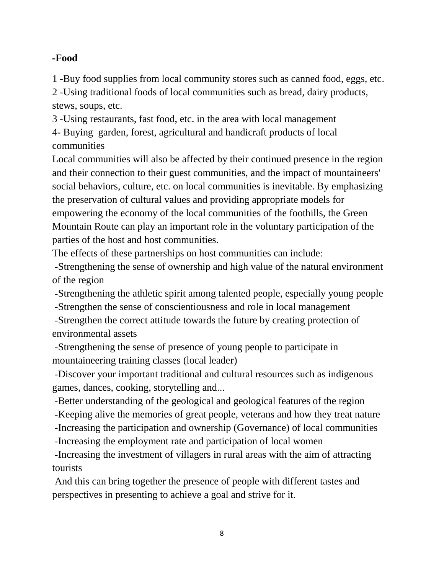# **-Food**

1 -Buy food supplies from local community stores such as canned food, eggs, etc.

2 -Using traditional foods of local communities such as bread, dairy products, stews, soups, etc.

3 -Using restaurants, fast food, etc. in the area with local management 4- Buying garden, forest, agricultural and handicraft products of local communities

Local communities will also be affected by their continued presence in the region and their connection to their guest communities, and the impact of mountaineers' social behaviors, culture, etc. on local communities is inevitable. By emphasizing the preservation of cultural values and providing appropriate models for empowering the economy of the local communities of the foothills, the Green Mountain Route can play an important role in the voluntary participation of the parties of the host and host communities.

The effects of these partnerships on host communities can include:

-Strengthening the sense of ownership and high value of the natural environment of the region

-Strengthening the athletic spirit among talented people, especially young people

-Strengthen the sense of conscientiousness and role in local management

-Strengthen the correct attitude towards the future by creating protection of environmental assets

-Strengthening the sense of presence of young people to participate in mountaineering training classes (local leader)

-Discover your important traditional and cultural resources such as indigenous games, dances, cooking, storytelling and...

-Better understanding of the geological and geological features of the region

-Keeping alive the memories of great people, veterans and how they treat nature

-Increasing the participation and ownership (Governance) of local communities

-Increasing the employment rate and participation of local women

-Increasing the investment of villagers in rural areas with the aim of attracting tourists

And this can bring together the presence of people with different tastes and perspectives in presenting to achieve a goal and strive for it.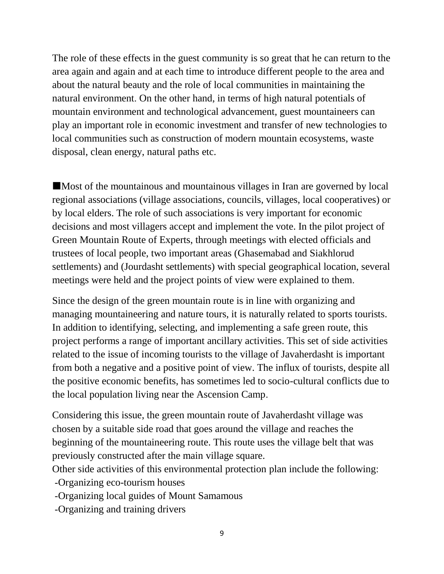The role of these effects in the guest community is so great that he can return to the area again and again and at each time to introduce different people to the area and about the natural beauty and the role of local communities in maintaining the natural environment. On the other hand, in terms of high natural potentials of mountain environment and technological advancement, guest mountaineers can play an important role in economic investment and transfer of new technologies to local communities such as construction of modern mountain ecosystems, waste disposal, clean energy, natural paths etc.

Most of the mountainous and mountainous villages in Iran are governed by local regional associations (village associations, councils, villages, local cooperatives) or by local elders. The role of such associations is very important for economic decisions and most villagers accept and implement the vote. In the pilot project of Green Mountain Route of Experts, through meetings with elected officials and trustees of local people, two important areas (Ghasemabad and Siakhlorud settlements) and (Jourdasht settlements) with special geographical location, several meetings were held and the project points of view were explained to them.

Since the design of the green mountain route is in line with organizing and managing mountaineering and nature tours, it is naturally related to sports tourists. In addition to identifying, selecting, and implementing a safe green route, this project performs a range of important ancillary activities. This set of side activities related to the issue of incoming tourists to the village of Javaherdasht is important from both a negative and a positive point of view. The influx of tourists, despite all the positive economic benefits, has sometimes led to socio-cultural conflicts due to the local population living near the Ascension Camp.

Considering this issue, the green mountain route of Javaherdasht village was chosen by a suitable side road that goes around the village and reaches the beginning of the mountaineering route. This route uses the village belt that was previously constructed after the main village square.

Other side activities of this environmental protection plan include the following:

-Organizing eco-tourism houses

-Organizing local guides of Mount Samamous

-Organizing and training drivers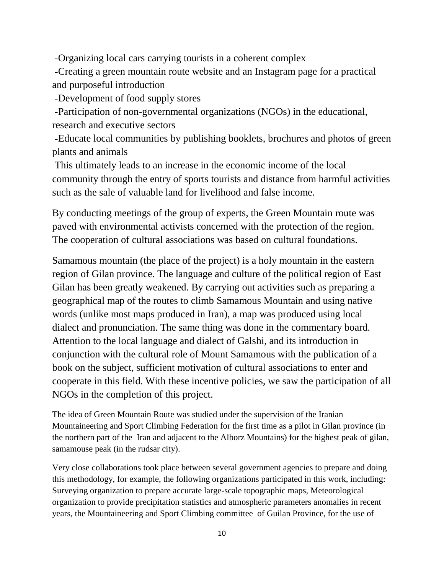-Organizing local cars carrying tourists in a coherent complex

-Creating a green mountain route website and an Instagram page for a practical and purposeful introduction

-Development of food supply stores

-Participation of non-governmental organizations (NGOs) in the educational, research and executive sectors

-Educate local communities by publishing booklets, brochures and photos of green plants and animals

This ultimately leads to an increase in the economic income of the local community through the entry of sports tourists and distance from harmful activities such as the sale of valuable land for livelihood and false income.

By conducting meetings of the group of experts, the Green Mountain route was paved with environmental activists concerned with the protection of the region. The cooperation of cultural associations was based on cultural foundations.

Samamous mountain (the place of the project) is a holy mountain in the eastern region of Gilan province. The language and culture of the political region of East Gilan has been greatly weakened. By carrying out activities such as preparing a geographical map of the routes to climb Samamous Mountain and using native words (unlike most maps produced in Iran), a map was produced using local dialect and pronunciation. The same thing was done in the commentary board. Attention to the local language and dialect of Galshi, and its introduction in conjunction with the cultural role of Mount Samamous with the publication of a book on the subject, sufficient motivation of cultural associations to enter and cooperate in this field. With these incentive policies, we saw the participation of all NGOs in the completion of this project.

The idea of Green Mountain Route was studied under the supervision of the Iranian Mountaineering and Sport Climbing Federation for the first time as a pilot in Gilan province (in the northern part of the Iran and adjacent to the Alborz Mountains) for the highest peak of gilan, samamouse peak (in the rudsar city).

Very close collaborations took place between several government agencies to prepare and doing this methodology, for example, the following organizations participated in this work, including: Surveying organization to prepare accurate large-scale topographic maps, Meteorological organization to provide precipitation statistics and atmospheric parameters anomalies in recent years, the Mountaineering and Sport Climbing committee of Guilan Province, for the use of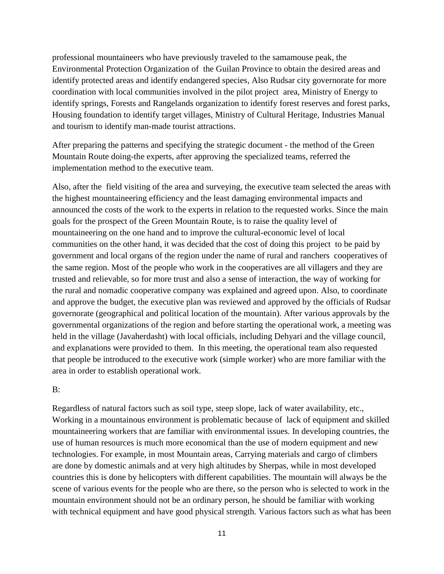professional mountaineers who have previously traveled to the samamouse peak, the Environmental Protection Organization of the Guilan Province to obtain the desired areas and identify protected areas and identify endangered species, Also Rudsar city governorate for more coordination with local communities involved in the pilot project area, Ministry of Energy to identify springs, Forests and Rangelands organization to identify forest reserves and forest parks, Housing foundation to identify target villages, Ministry of Cultural Heritage, Industries Manual and tourism to identify man-made tourist attractions.

After preparing the patterns and specifying the strategic document - the method of the Green Mountain Route doing-the experts, after approving the specialized teams, referred the implementation method to the executive team.

Also, after the field visiting of the area and surveying, the executive team selected the areas with the highest mountaineering efficiency and the least damaging environmental impacts and announced the costs of the work to the experts in relation to the requested works. Since the main goals for the prospect of the Green Mountain Route, is to raise the quality level of mountaineering on the one hand and to improve the cultural-economic level of local communities on the other hand, it was decided that the cost of doing this project to be paid by government and local organs of the region under the name of rural and ranchers cooperatives of the same region. Most of the people who work in the cooperatives are all villagers and they are trusted and relievable, so for more trust and also a sense of interaction, the way of working for the rural and nomadic cooperative company was explained and agreed upon. Also, to coordinate and approve the budget, the executive plan was reviewed and approved by the officials of Rudsar governorate (geographical and political location of the mountain). After various approvals by the governmental organizations of the region and before starting the operational work, a meeting was held in the village (Javaherdasht) with local officials, including Dehyari and the village council, and explanations were provided to them. In this meeting, the operational team also requested that people be introduced to the executive work (simple worker) who are more familiar with the area in order to establish operational work.

#### B:

Regardless of natural factors such as soil type, steep slope, lack of water availability, etc., Working in a mountainous environment is problematic because of lack of equipment and skilled mountaineering workers that are familiar with environmental issues. In developing countries, the use of human resources is much more economical than the use of modern equipment and new technologies. For example, in most Mountain areas, Carrying materials and cargo of climbers are done by domestic animals and at very high altitudes by Sherpas, while in most developed countries this is done by helicopters with different capabilities. The mountain will always be the scene of various events for the people who are there, so the person who is selected to work in the mountain environment should not be an ordinary person, he should be familiar with working with technical equipment and have good physical strength. Various factors such as what has been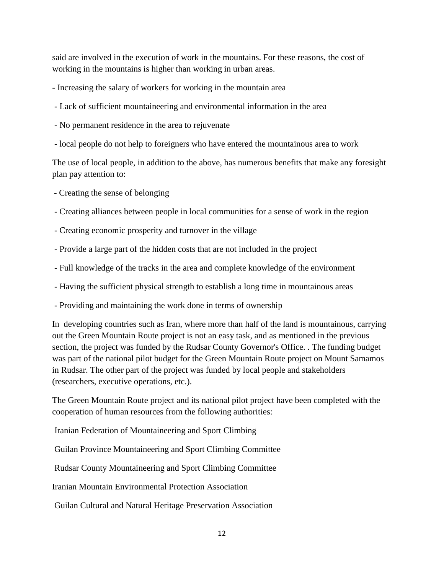said are involved in the execution of work in the mountains. For these reasons, the cost of working in the mountains is higher than working in urban areas.

- Increasing the salary of workers for working in the mountain area

- Lack of sufficient mountaineering and environmental information in the area
- No permanent residence in the area to rejuvenate
- local people do not help to foreigners who have entered the mountainous area to work

The use of local people, in addition to the above, has numerous benefits that make any foresight plan pay attention to:

- Creating the sense of belonging
- Creating alliances between people in local communities for a sense of work in the region
- Creating economic prosperity and turnover in the village
- Provide a large part of the hidden costs that are not included in the project
- Full knowledge of the tracks in the area and complete knowledge of the environment
- Having the sufficient physical strength to establish a long time in mountainous areas
- Providing and maintaining the work done in terms of ownership

In developing countries such as Iran, where more than half of the land is mountainous, carrying out the Green Mountain Route project is not an easy task, and as mentioned in the previous section, the project was funded by the Rudsar County Governor's Office. . The funding budget was part of the national pilot budget for the Green Mountain Route project on Mount Samamos in Rudsar. The other part of the project was funded by local people and stakeholders (researchers, executive operations, etc.).

The Green Mountain Route project and its national pilot project have been completed with the cooperation of human resources from the following authorities:

Iranian Federation of Mountaineering and Sport Climbing

Guilan Province Mountaineering and Sport Climbing Committee

Rudsar County Mountaineering and Sport Climbing Committee

Iranian Mountain Environmental Protection Association

Guilan Cultural and Natural Heritage Preservation Association